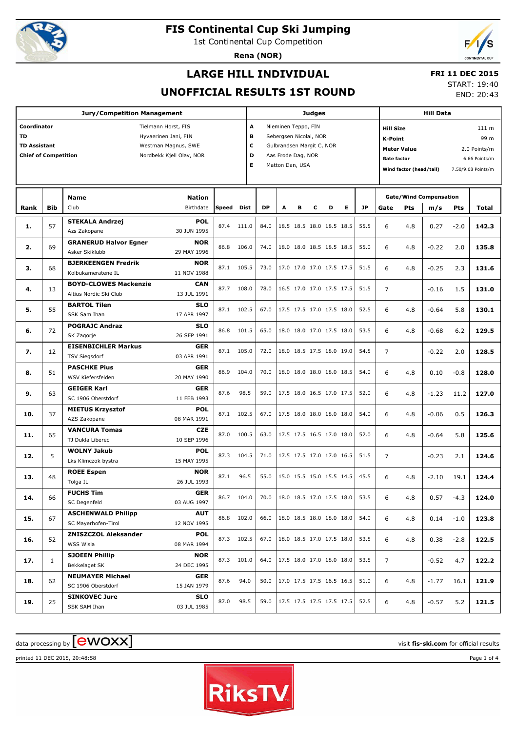

1st Continental Cup Competition

**Rena (NOR)**



## **LARGE HILL INDIVIDUAL**

### **FRI 11 DEC 2015**

### **UNOFFICIAL RESULTS 1ST ROUND**

START: 19:40

END: 20:43

|                                                                                |              | <b>Jury/Competition Management</b>                                                             |                            |       |                       |           |                                                                                                                     |   | <b>Judges</b> |                                     |   |           |                                                          | <b>Hill Data</b>                              |                                                                      |        |       |  |
|--------------------------------------------------------------------------------|--------------|------------------------------------------------------------------------------------------------|----------------------------|-------|-----------------------|-----------|---------------------------------------------------------------------------------------------------------------------|---|---------------|-------------------------------------|---|-----------|----------------------------------------------------------|-----------------------------------------------|----------------------------------------------------------------------|--------|-------|--|
| Coordinator<br><b>TD</b><br><b>TD Assistant</b><br><b>Chief of Competition</b> |              | Tielmann Horst, FIS<br>Hyvaerinen Jani, FIN<br>Westman Magnus, SWE<br>Nordbekk Kjell Olav, NOR |                            |       | A<br>в<br>c<br>D<br>E |           | Nieminen Teppo, FIN<br>Sebergsen Nicolai, NOR<br>Gulbrandsen Margit C, NOR<br>Aas Frode Dag, NOR<br>Matton Dan, USA |   |               |                                     |   |           | <b>Hill Size</b><br><b>K-Point</b><br><b>Gate factor</b> | <b>Meter Value</b><br>Wind factor (head/tail) | 111 m<br>99 m<br>2.0 Points/m<br>6.66 Points/m<br>7.50/9.08 Points/m |        |       |  |
| Rank                                                                           | <b>Bib</b>   | <b>Name</b><br>Club                                                                            | <b>Nation</b><br>Birthdate | Speed | Dist                  | <b>DP</b> | A                                                                                                                   | в | c             | D                                   | Е | <b>JP</b> | Gate                                                     | Pts                                           | <b>Gate/Wind Compensation</b><br>m/s                                 | Pts    | Total |  |
| 1.                                                                             | 57           | <b>STEKALA Andrzej</b><br>Azs Zakopane                                                         | <b>POL</b><br>30 JUN 1995  | 87.4  | 111.0                 | 84.0      |                                                                                                                     |   |               | 18.5 18.5 18.0 18.5 18.5            |   | 55.5      | 6                                                        | 4.8                                           | 0.27                                                                 | $-2.0$ | 142.3 |  |
| 2.                                                                             | 69           | <b>GRANERUD Halvor Egner</b><br>Asker Skiklubb                                                 | <b>NOR</b><br>29 MAY 1996  | 86.8  | 106.0                 | 74.0      |                                                                                                                     |   |               | 18.0 18.0 18.5 18.5 18.5            |   | 55.0      | 6                                                        | 4.8                                           | $-0.22$                                                              | 2.0    | 135.8 |  |
| з.                                                                             | 68           | <b>BJERKEENGEN Fredrik</b><br>Kolbukameratene IL                                               | <b>NOR</b><br>11 NOV 1988  |       | 87.1 105.5            | 73.0      |                                                                                                                     |   |               | 17.0 17.0 17.0 17.5 17.5            |   | 51.5      | 6                                                        | 4.8                                           | $-0.25$                                                              | 2.3    | 131.6 |  |
| 4.                                                                             | 13           | <b>BOYD-CLOWES Mackenzie</b><br>Altius Nordic Ski Club                                         | <b>CAN</b><br>13 JUL 1991  | 87.7  | 108.0                 | 78.0      |                                                                                                                     |   |               | 16.5 17.0 17.0 17.5 17.5            |   | 51.5      | $\overline{7}$                                           |                                               | $-0.16$                                                              | 1.5    | 131.0 |  |
| 5.                                                                             | 55           | <b>BARTOL Tilen</b><br>SSK Sam Ihan                                                            | <b>SLO</b><br>17 APR 1997  | 87.1  | 102.5                 | 67.0      |                                                                                                                     |   |               | 17.5 17.5 17.0 17.5 18.0            |   | 52.5      | 6                                                        | 4.8                                           | $-0.64$                                                              | 5.8    | 130.1 |  |
| 6.                                                                             | 72           | <b>POGRAJC Andraz</b><br>SK Zagorje                                                            | <b>SLO</b><br>26 SEP 1991  | 86.8  | 101.5                 | 65.0      |                                                                                                                     |   |               | 18.0 18.0 17.0 17.5 18.0            |   | 53.5      | 6                                                        | 4.8                                           | $-0.68$                                                              | 6.2    | 129.5 |  |
| 7.                                                                             | 12           | <b>EISENBICHLER Markus</b><br><b>TSV Siegsdorf</b>                                             | <b>GER</b><br>03 APR 1991  | 87.1  | 105.0                 | 72.0      |                                                                                                                     |   |               | 18.0 18.5 17.5 18.0 19.0            |   | 54.5      | $\overline{7}$                                           |                                               | $-0.22$                                                              | 2.0    | 128.5 |  |
| 8.                                                                             | 51           | <b>PASCHKE Pius</b><br>WSV Kiefersfelden                                                       | <b>GER</b><br>20 MAY 1990  | 86.9  | 104.0                 | 70.0      |                                                                                                                     |   |               | 18.0 18.0 18.0 18.0 18.5            |   | 54.0      | 6                                                        | 4.8                                           | 0.10                                                                 | $-0.8$ | 128.0 |  |
| 9.                                                                             | 63           | <b>GEIGER Karl</b><br>SC 1906 Oberstdorf                                                       | <b>GER</b><br>11 FEB 1993  | 87.6  | 98.5                  | 59.0      |                                                                                                                     |   |               | 17.5 18.0 16.5 17.0 17.5            |   | 52.0      | 6                                                        | 4.8                                           | $-1.23$                                                              | 11.2   | 127.0 |  |
| 10.                                                                            | 37           | <b>MIETUS Krzysztof</b><br>AZS Zakopane                                                        | <b>POL</b><br>08 MAR 1991  | 87.1  | 102.5                 | 67.0      |                                                                                                                     |   |               | 17.5 18.0 18.0 18.0 18.0            |   | 54.0      | 6                                                        | 4.8                                           | $-0.06$                                                              | 0.5    | 126.3 |  |
| 11.                                                                            | 65           | <b>VANCURA Tomas</b><br>TJ Dukla Liberec                                                       | <b>CZE</b><br>10 SEP 1996  | 87.0  | 100.5                 | 63.0      |                                                                                                                     |   |               | 17.5 17.5 16.5 17.0 18.0            |   | 52.0      | 6                                                        | 4.8                                           | $-0.64$                                                              | 5.8    | 125.6 |  |
| 12.                                                                            | 5            | <b>WOLNY Jakub</b><br>Lks Klimczok bystra                                                      | <b>POL</b><br>15 MAY 1995  | 87.3  | 104.5                 | 71.0      |                                                                                                                     |   |               | 17.5 17.5 17.0 17.0 16.5            |   | 51.5      | $\overline{7}$                                           |                                               | $-0.23$                                                              | 2.1    | 124.6 |  |
| 13.                                                                            | 48           | <b>ROEE Espen</b><br>Tolga IL                                                                  | <b>NOR</b><br>26 JUL 1993  | 87.1  | 96.5                  | 55.0      |                                                                                                                     |   |               | 15.0 15.5 15.0 15.5 14.5            |   | 45.5      | 6                                                        | 4.8                                           | $-2.10$                                                              | 19.1   | 124.4 |  |
| 14.                                                                            | 66           | <b>FUCHS Tim</b><br>SC Degenfeld                                                               | <b>GER</b><br>03 AUG 1997  |       | 86.7 104.0            | 70.0      |                                                                                                                     |   |               | $ 18.0 \t18.5 \t17.0 \t17.5 \t18.0$ |   | 53.5      | 6                                                        | 4.8                                           | 0.57                                                                 | $-4.3$ | 124.0 |  |
| 15.                                                                            | 67           | <b>ASCHENWALD Philipp</b><br>SC Mayerhofen-Tirol                                               | <b>AUT</b><br>12 NOV 1995  |       | 86.8 102.0            | 66.0      |                                                                                                                     |   |               | 18.0 18.5 18.0 18.0 18.0            |   | 54.0      | 6                                                        | 4.8                                           | 0.14                                                                 | $-1.0$ | 123.8 |  |
| 16.                                                                            | 52           | <b>ZNISZCZOL Aleksander</b><br>WSS Wisla                                                       | <b>POL</b><br>08 MAR 1994  |       | 87.3 102.5            | 67.0      |                                                                                                                     |   |               | 18.0 18.5 17.0 17.5 18.0            |   | 53.5      | 6                                                        | 4.8                                           | 0.38                                                                 | $-2.8$ | 122.5 |  |
| 17.                                                                            | $\mathbf{1}$ | <b>SJOEEN Phillip</b><br>Bekkelaget SK                                                         | <b>NOR</b><br>24 DEC 1995  |       | 87.3 101.0            | 64.0      |                                                                                                                     |   |               | 17.5 18.0 17.0 18.0 18.0            |   | 53.5      | 7                                                        |                                               | $-0.52$                                                              | 4.7    | 122.2 |  |
| 18.                                                                            | 62           | <b>NEUMAYER Michael</b><br>SC 1906 Oberstdorf                                                  | <b>GER</b><br>15 JAN 1979  | 87.6  | 94.0                  | 50.0      |                                                                                                                     |   |               | 17.0 17.5 17.5 16.5 16.5            |   | 51.0      | 6                                                        | 4.8                                           | $-1.77$                                                              | 16.1   | 121.9 |  |
| 19.                                                                            | 25           | <b>SINKOVEC Jure</b><br>SSK SAM Ihan                                                           | <b>SLO</b><br>03 JUL 1985  | 87.0  | 98.5                  | 59.0      |                                                                                                                     |   |               | 17.5 17.5 17.5 17.5 17.5            |   | 52.5      | 6                                                        | 4.8                                           | $-0.57$                                                              | 5.2    | 121.5 |  |

## $\frac{1}{2}$  data processing by  $\boxed{\text{ewOX}}$

printed 11 DEC 2015, 20:48:58 Page 1 of 4

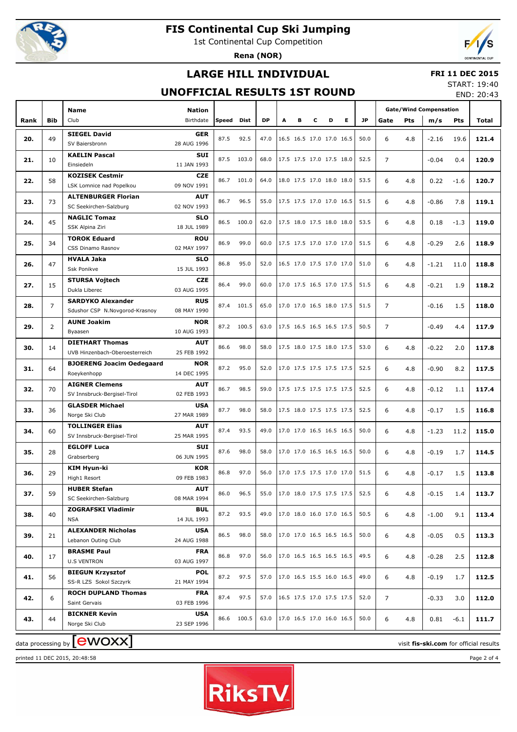

1st Continental Cup Competition

**Rena (NOR)**



## **LARGE HILL INDIVIDUAL**

#### **FRI 11 DEC 2015**

### **UNOFFICIAL RESULTS 1ST ROUND**

START: 19:40 END: 20:43

|      |                | <b>Name</b>                                     | Nation                    |       |            |           |   |   |                          |   |   |           |                |     | <b>Gate/Wind Compensation</b> |            |                                        |
|------|----------------|-------------------------------------------------|---------------------------|-------|------------|-----------|---|---|--------------------------|---|---|-----------|----------------|-----|-------------------------------|------------|----------------------------------------|
| Rank | <b>Bib</b>     | Club                                            | Birthdate                 | Speed | Dist       | <b>DP</b> | A | в | c                        | D | Е | <b>JP</b> | Gate           | Pts | m/s                           | <b>Pts</b> | Total                                  |
|      |                | <b>SIEGEL David</b>                             | <b>GER</b>                |       |            |           |   |   |                          |   |   |           |                |     |                               |            |                                        |
| 20.  | 49             | SV Baiersbronn                                  | 28 AUG 1996               | 87.5  | 92.5       | 47.0      |   |   | 16.5 16.5 17.0 17.0 16.5 |   |   | 50.0      | 6              | 4.8 | $-2.16$                       | 19.6       | 121.4                                  |
|      |                | <b>KAELIN Pascal</b>                            | <b>SUI</b>                |       |            |           |   |   |                          |   |   |           |                |     |                               |            |                                        |
| 21.  | 10             | Einsiedeln                                      | 11 JAN 1993               | 87.5  | 103.0      | 68.0      |   |   | 17.5 17.5 17.0 17.5 18.0 |   |   | 52.5      | $\overline{7}$ |     | $-0.04$                       | 0.4        | 120.9                                  |
| 22.  | 58             | <b>KOZISEK Cestmir</b>                          | <b>CZE</b>                | 86.7  | 101.0      | 64.0      |   |   | 18.0 17.5 17.0 18.0 18.0 |   |   | 53.5      | 6              | 4.8 | 0.22                          | $-1.6$     | 120.7                                  |
|      |                | LSK Lomnice nad Popelkou                        | 09 NOV 1991               |       |            |           |   |   |                          |   |   |           |                |     |                               |            |                                        |
| 23.  | 73             | <b>ALTENBURGER Florian</b>                      | <b>AUT</b>                | 86.7  | 96.5       | 55.0      |   |   | 17.5 17.5 17.0 17.0 16.5 |   |   | 51.5      | 6              | 4.8 | $-0.86$                       | 7.8        | 119.1                                  |
|      |                | SC Seekirchen-Salzburg                          | 02 NOV 1993               |       |            |           |   |   |                          |   |   |           |                |     |                               |            |                                        |
| 24.  | 45             | <b>NAGLIC Tomaz</b>                             | <b>SLO</b>                | 86.5  | 100.0      | 62.0      |   |   | 17.5 18.0 17.5 18.0 18.0 |   |   | 53.5      | 6              | 4.8 | 0.18                          | $-1.3$     | 119.0                                  |
|      |                | SSK Alpina Ziri                                 | 18 JUL 1989               |       |            |           |   |   |                          |   |   |           |                |     |                               |            |                                        |
| 25.  | 34             | <b>TOROK Eduard</b><br>CSS Dinamo Rasnov        | <b>ROU</b><br>02 MAY 1997 | 86.9  | 99.0       | 60.0      |   |   | 17.5 17.5 17.0 17.0 17.0 |   |   | 51.5      | 6              | 4.8 | $-0.29$                       | 2.6        | 118.9                                  |
|      |                | <b>HVALA Jaka</b>                               | <b>SLO</b>                |       |            |           |   |   |                          |   |   |           |                |     |                               |            |                                        |
| 26.  | 47             | Ssk Ponikve                                     | 15 JUL 1993               | 86.8  | 95.0       | 52.0      |   |   | 16.5 17.0 17.5 17.0 17.0 |   |   | 51.0      | 6              | 4.8 | $-1.21$                       | 11.0       | 118.8                                  |
|      |                | <b>STURSA Vojtech</b>                           | <b>CZE</b>                |       |            |           |   |   |                          |   |   |           |                |     |                               |            |                                        |
| 27.  | 15             | Dukla Liberec                                   | 03 AUG 1995               | 86.4  | 99.0       | 60.0      |   |   | 17.0 17.5 16.5 17.0 17.5 |   |   | 51.5      | 6              | 4.8 | $-0.21$                       | 1.9        | 118.2                                  |
| 28.  | $\overline{7}$ | <b>SARDYKO Alexander</b>                        | <b>RUS</b>                | 87.4  | 101.5      | 65.0      |   |   | 17.0 17.0 16.5 18.0 17.5 |   |   | 51.5      | $\overline{7}$ |     | $-0.16$                       | 1.5        | 118.0                                  |
|      |                | Sdushor CSP N.Novgorod-Krasnoy                  | 08 MAY 1990               |       |            |           |   |   |                          |   |   |           |                |     |                               |            |                                        |
| 29.  | $\overline{2}$ | <b>AUNE Joakim</b>                              | <b>NOR</b>                | 87.2  | 100.5      | 63.0      |   |   | 17.5 16.5 16.5 16.5 17.5 |   |   | 50.5      | $\overline{7}$ |     | $-0.49$                       | 4.4        | 117.9                                  |
|      |                | Byaasen                                         | 10 AUG 1993               |       |            |           |   |   |                          |   |   |           |                |     |                               |            |                                        |
| 30.  | 14             | <b>DIETHART Thomas</b>                          | <b>AUT</b>                | 86.6  | 98.0       | 58.0      |   |   | 17.5 18.0 17.5 18.0 17.5 |   |   | 53.0      | 6              | 4.8 | $-0.22$                       | 2.0        | 117.8                                  |
|      |                | UVB Hinzenbach-Oberoesterreich                  | 25 FEB 1992               |       |            |           |   |   |                          |   |   |           |                |     |                               |            |                                        |
| 31.  | 64             | <b>BJOERENG Joacim Oedegaard</b><br>Roeykenhopp | <b>NOR</b><br>14 DEC 1995 | 87.2  | 95.0       | 52.0      |   |   | 17.0 17.5 17.5 17.5 17.5 |   |   | 52.5      | 6              | 4.8 | $-0.90$                       | 8.2        | 117.5                                  |
|      |                | <b>AIGNER Clemens</b>                           | <b>AUT</b>                |       |            |           |   |   |                          |   |   |           |                |     |                               |            |                                        |
| 32.  | 70             | SV Innsbruck-Bergisel-Tirol                     | 02 FEB 1993               | 86.7  | 98.5       | 59.0      |   |   | 17.5 17.5 17.5 17.5 17.5 |   |   | 52.5      | 6              | 4.8 | $-0.12$                       | 1.1        | 117.4                                  |
|      |                | <b>GLASDER Michael</b>                          | <b>USA</b>                |       |            |           |   |   |                          |   |   |           |                |     |                               |            |                                        |
| 33.  | 36             | Norge Ski Club                                  | 27 MAR 1989               | 87.7  | 98.0       | 58.0      |   |   | 17.5 18.0 17.5 17.5 17.5 |   |   | 52.5      | 6              | 4.8 | $-0.17$                       | 1.5        | 116.8                                  |
| 34.  | 60             | <b>TOLLINGER Elias</b>                          | <b>AUT</b>                | 87.4  | 93.5       | 49.0      |   |   | 17.0 17.0 16.5 16.5 16.5 |   |   | 50.0      | 6              | 4.8 | $-1.23$                       | 11.2       | 115.0                                  |
|      |                | SV Innsbruck-Bergisel-Tirol                     | 25 MAR 1995               |       |            |           |   |   |                          |   |   |           |                |     |                               |            |                                        |
| 35.  | 28             | <b>EGLOFF Luca</b>                              | <b>SUI</b>                | 87.6  | 98.0       | 58.0      |   |   | 17.0 17.0 16.5 16.5 16.5 |   |   | 50.0      | 6              | 4.8 | $-0.19$                       | 1.7        | 114.5                                  |
|      |                | Grabserberg                                     | 06 JUN 1995               |       |            |           |   |   |                          |   |   |           |                |     |                               |            |                                        |
| 36.  | 29             | KIM Hyun-ki                                     | <b>KOR</b>                | 86.8  | 97.0       | 56.0      |   |   | 17.0 17.5 17.5 17.0 17.0 |   |   | 51.5      | 6              | 4.8 | $-0.17$                       | 1.5        | 113.8                                  |
|      |                | High1 Resort                                    | 09 FEB 1983               |       |            |           |   |   |                          |   |   |           |                |     |                               |            |                                        |
| 37.  | 59             | <b>HUBER Stefan</b><br>SC Seekirchen-Salzburg   | <b>AUT</b><br>08 MAR 1994 | 86.0  | 96.5       | 55.0      |   |   | 17.0 18.0 17.5 17.5 17.5 |   |   | 52.5      | 6              | 4.8 | $-0.15$                       | 1.4        | 113.7                                  |
|      |                | <b>ZOGRAFSKI Vladimir</b>                       | <b>BUL</b>                |       |            |           |   |   |                          |   |   |           |                |     |                               |            |                                        |
| 38.  | 40             | <b>NSA</b>                                      | 14 JUL 1993               | 87.2  | 93.5       | 49.0      |   |   | 17.0 18.0 16.0 17.0 16.5 |   |   | 50.5      | 6              | 4.8 | $-1.00$                       | 9.1        | 113.4                                  |
|      |                | <b>ALEXANDER Nicholas</b>                       | <b>USA</b>                |       |            |           |   |   |                          |   |   |           |                |     |                               |            |                                        |
| 39.  | 21             | Lebanon Outing Club                             | 24 AUG 1988               | 86.5  | 98.0       | 58.0      |   |   | 17.0 17.0 16.5 16.5 16.5 |   |   | 50.0      | 6              | 4.8 | $-0.05$                       | 0.5        | 113.3                                  |
| 40.  | 17             | <b>BRASME Paul</b>                              | <b>FRA</b>                | 86.8  | 97.0       | 56.0      |   |   | 17.0 16.5 16.5 16.5 16.5 |   |   | 49.5      | 6              | 4.8 | $-0.28$                       | 2.5        | 112.8                                  |
|      |                | <b>U.S VENTRON</b>                              | 03 AUG 1997               |       |            |           |   |   |                          |   |   |           |                |     |                               |            |                                        |
| 41.  | 56             | <b>BIEGUN Krzysztof</b>                         | <b>POL</b>                | 87.2  | 97.5       | 57.0      |   |   | 17.0 16.5 15.5 16.0 16.5 |   |   | 49.0      | 6              | 4.8 | $-0.19$                       | 1.7        | 112.5                                  |
|      |                | SS-R LZS Sokol Szczyrk                          | 21 MAY 1994               |       |            |           |   |   |                          |   |   |           |                |     |                               |            |                                        |
| 42.  | 6              | <b>ROCH DUPLAND Thomas</b>                      | <b>FRA</b>                | 87.4  | 97.5       | 57.0      |   |   | 16.5 17.5 17.0 17.5 17.5 |   |   | 52.0      | $\overline{7}$ |     | $-0.33$                       | 3.0        | 112.0                                  |
|      |                | Saint Gervais<br><b>BICKNER Kevin</b>           | 03 FEB 1996<br><b>USA</b> |       |            |           |   |   |                          |   |   |           |                |     |                               |            |                                        |
| 43.  | 44             | Norge Ski Club                                  | 23 SEP 1996               |       | 86.6 100.5 | 63.0      |   |   | 17.0 16.5 17.0 16.0 16.5 |   |   | 50.0      | 6              | 4.8 | 0.81                          | $-6.1$     | 111.7                                  |
|      |                |                                                 |                           |       |            |           |   |   |                          |   |   |           |                |     |                               |            |                                        |
|      |                | data processing by <b>CWOXX</b>                 |                           |       |            |           |   |   |                          |   |   |           |                |     |                               |            | visit fis-ski.com for official results |

printed 11 DEC 2015, 20:48:58 Page 2 of 4

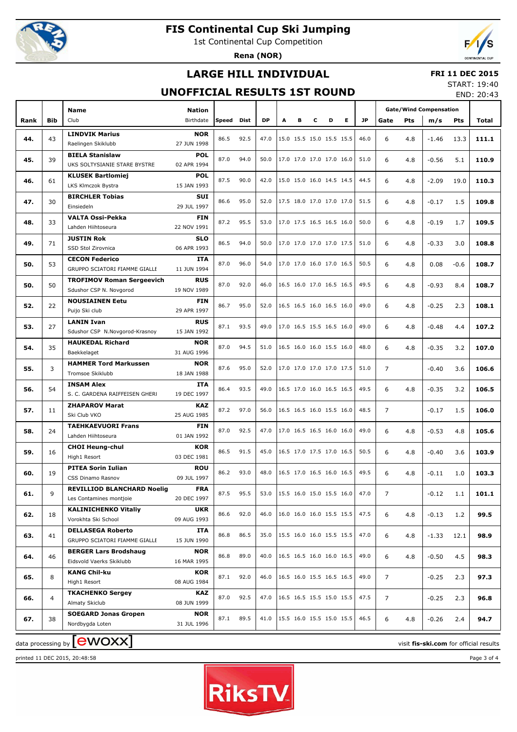

1st Continental Cup Competition

**Rena (NOR)**



## **LARGE HILL INDIVIDUAL**

#### **FRI 11 DEC 2015**

## **UNOFFICIAL RESULTS 1ST ROUND**

START: 19:40 END: 20:43

|      |                |                                             |             |       |      |           |   |   |                          |   |   |           |                |     |                               |        | LIVU. ZU.TJ |
|------|----------------|---------------------------------------------|-------------|-------|------|-----------|---|---|--------------------------|---|---|-----------|----------------|-----|-------------------------------|--------|-------------|
|      |                | Name                                        | Nation      |       |      |           |   |   |                          |   |   |           |                |     | <b>Gate/Wind Compensation</b> |        |             |
| Rank | Bib            | Club                                        | Birthdate   | Speed | Dist | <b>DP</b> | A | в | С                        | D | Е | <b>JP</b> | Gate           | Pts | m/s                           | Pts    | Total       |
|      | 43             | <b>LINDVIK Marius</b>                       | <b>NOR</b>  | 86.5  | 92.5 | 47.0      |   |   | 15.0 15.5 15.0 15.5 15.5 |   |   | 46.0      | 6              |     |                               |        |             |
| 44.  |                | Raelingen Skiklubb                          | 27 JUN 1998 |       |      |           |   |   |                          |   |   |           |                | 4.8 | $-1.46$                       | 13.3   | 111.1       |
|      |                | <b>BIELA Stanislaw</b>                      | <b>POL</b>  |       |      |           |   |   |                          |   |   |           |                |     |                               |        |             |
| 45.  | 39             | UKS SOLTYSIANIE STARE BYSTRE<br>02 APR 1994 |             | 87.0  | 94.0 | 50.0      |   |   | 17.0 17.0 17.0 17.0 16.0 |   |   | 51.0      | 6              | 4.8 | $-0.56$                       | 5.1    | 110.9       |
|      |                | <b>KLUSEK Bartlomiej</b>                    | <b>POL</b>  |       |      |           |   |   |                          |   |   |           |                |     |                               |        |             |
| 46.  | 61             | LKS Klmczok Bystra                          | 15 JAN 1993 | 87.5  | 90.0 | 42.0      |   |   | 15.0 15.0 16.0 14.5 14.5 |   |   | 44.5      | 6              | 4.8 | $-2.09$                       | 19.0   | 110.3       |
|      |                | <b>BIRCHLER Tobias</b>                      | <b>SUI</b>  |       |      |           |   |   |                          |   |   |           |                |     |                               |        |             |
| 47.  | 30             | Einsiedeln                                  | 29 JUL 1997 | 86.6  | 95.0 | 52.0      |   |   | 17.5 18.0 17.0 17.0 17.0 |   |   | 51.5      | 6              | 4.8 | $-0.17$                       | 1.5    | 109.8       |
|      |                | <b>VALTA Ossi-Pekka</b>                     | <b>FIN</b>  |       |      |           |   |   |                          |   |   |           |                |     |                               |        |             |
| 48.  | 33             | Lahden Hiihtoseura                          | 22 NOV 1991 | 87.2  | 95.5 | 53.0      |   |   | 17.0 17.5 16.5 16.5 16.0 |   |   | 50.0      | 6              | 4.8 | $-0.19$                       | 1.7    | 109.5       |
|      |                | <b>JUSTIN Rok</b>                           | <b>SLO</b>  |       |      |           |   |   |                          |   |   |           |                |     |                               |        |             |
| 49.  | 71             | SSD Stol Zirovnica                          | 06 APR 1993 | 86.5  | 94.0 | 50.0      |   |   | 17.0 17.0 17.0 17.0 17.5 |   |   | 51.0      | 6              | 4.8 | $-0.33$                       | 3.0    | 108.8       |
|      |                | <b>CECON Federico</b>                       | ITA         |       |      |           |   |   |                          |   |   |           |                |     |                               |        |             |
| 50.  | 53             | GRUPPO SCIATORI FIAMME GIALLE               | 11 JUN 1994 | 87.0  | 96.0 | 54.0      |   |   | 17.0 17.0 16.0 17.0 16.5 |   |   | 50.5      | 6              | 4.8 | 0.08                          | $-0.6$ | 108.7       |
|      |                | <b>TROFIMOV Roman Sergeevich</b>            | <b>RUS</b>  |       |      |           |   |   |                          |   |   |           |                |     |                               |        |             |
| 50.  | 50             | Sdushor CSP N. Novgorod                     | 19 NOV 1989 | 87.0  | 92.0 | 46.0      |   |   | 16.5 16.0 17.0 16.5 16.5 |   |   | 49.5      | 6              | 4.8 | $-0.93$                       | 8.4    | 108.7       |
|      |                | <b>NOUSIAINEN Eetu</b>                      | <b>FIN</b>  |       |      |           |   |   |                          |   |   |           |                |     |                               |        |             |
| 52.  | 22             | Puijo Ski club                              | 29 APR 1997 | 86.7  | 95.0 | 52.0      |   |   | 16.5 16.5 16.0 16.5 16.0 |   |   | 49.0      | 6              | 4.8 | $-0.25$                       | 2.3    | 108.1       |
|      |                | <b>LANIN Ivan</b>                           | <b>RUS</b>  |       |      |           |   |   |                          |   |   |           |                |     |                               |        |             |
| 53.  | 27             | Sdushor CSP N.Novgorod-Krasnoy              | 15 JAN 1992 | 87.1  | 93.5 | 49.0      |   |   | 17.0 16.5 15.5 16.5 16.0 |   |   | 49.0      | 6              | 4.8 | $-0.48$                       | 4.4    | 107.2       |
|      |                | <b>HAUKEDAL Richard</b>                     | <b>NOR</b>  |       |      |           |   |   |                          |   |   |           |                |     |                               |        |             |
| 54.  | 35             | Baekkelaget                                 | 31 AUG 1996 | 87.0  | 94.5 | 51.0      |   |   | 16.5 16.0 16.0 15.5 16.0 |   |   | 48.0      | 6              | 4.8 | $-0.35$                       | 3.2    | 107.0       |
|      |                | <b>HAMMER Tord Markussen</b>                | <b>NOR</b>  | 87.6  | 95.0 | 52.0      |   |   | 17.0 17.0 17.0 17.0 17.5 |   |   | 51.0      |                |     |                               |        |             |
| 55.  | 3              | Tromsoe Skiklubb                            | 18 JAN 1988 |       |      |           |   |   |                          |   |   |           | $\overline{7}$ |     | $-0.40$                       | 3.6    | 106.6       |
|      |                | <b>INSAM Alex</b>                           | ITA         | 86.4  | 93.5 | 49.0      |   |   | 16.5 17.0 16.0 16.5 16.5 |   |   | 49.5      |                |     |                               |        |             |
| 56.  | 54             | S. C. GARDENA RAIFFEISEN GHERI              | 19 DEC 1997 |       |      |           |   |   |                          |   |   |           | 6              | 4.8 | $-0.35$                       | 3.2    | 106.5       |
|      |                | <b>ZHAPAROV Marat</b>                       | KAZ         | 87.2  | 97.0 | 56.0      |   |   | 16.5 16.5 16.0 15.5 16.0 |   |   | 48.5      | $\overline{7}$ |     |                               |        |             |
| 57.  | 11             | Ski Club VKO                                | 25 AUG 1985 |       |      |           |   |   |                          |   |   |           |                |     | $-0.17$                       | 1.5    | 106.0       |
|      | 24             | <b>TAEHKAEVUORI Frans</b>                   | <b>FIN</b>  | 87.0  | 92.5 | 47.0      |   |   | 17.0 16.5 16.5 16.0 16.0 |   |   | 49.0      | 6              |     |                               |        |             |
| 58.  |                | Lahden Hiihtoseura                          | 01 JAN 1992 |       |      |           |   |   |                          |   |   |           |                | 4.8 | $-0.53$                       | 4.8    | 105.6       |
| 59.  | 16             | <b>CHOI Heung-chul</b>                      | <b>KOR</b>  | 86.5  | 91.5 | 45.0      |   |   | 16.5 17.0 17.5 17.0 16.5 |   |   | 50.5      | 6              | 4.8 | $-0.40$                       | 3.6    | 103.9       |
|      |                | High1 Resort                                | 03 DEC 1981 |       |      |           |   |   |                          |   |   |           |                |     |                               |        |             |
| 60.  | 19             | <b>PITEA Sorin Iulian</b>                   | <b>ROU</b>  | 86.2  | 93.0 | 48.0      |   |   | 16.5 17.0 16.5 16.0 16.5 |   |   | 49.5      | 6              | 4.8 | $-0.11$                       | 1.0    | 103.3       |
|      |                | CSS Dinamo Rasnov                           | 09 JUL 1997 |       |      |           |   |   |                          |   |   |           |                |     |                               |        |             |
| 61.  | 9              | <b>REVILLIOD BLANCHARD Noelig</b>           | <b>FRA</b>  | 87.5  | 95.5 | 53.0      |   |   | 15.5 16.0 15.0 15.5 16.0 |   |   | 47.0      | 7              |     | $-0.12$                       | 1.1    | 101.1       |
|      |                | Les Contamines montjoie                     | 20 DEC 1997 |       |      |           |   |   |                          |   |   |           |                |     |                               |        |             |
| 62.  | 18             | <b>KALINICHENKO Vitaliy</b>                 | UKR         | 86.6  | 92.0 | 46.0      |   |   | 16.0 16.0 16.0 15.5 15.5 |   |   | 47.5      | 6              | 4.8 | $-0.13$                       | 1.2    | 99.5        |
|      |                | Vorokhta Ski School                         | 09 AUG 1993 |       |      |           |   |   |                          |   |   |           |                |     |                               |        |             |
| 63.  | 41             | <b>DELLASEGA Roberto</b>                    | ITA         | 86.8  | 86.5 | 35.0      |   |   | 15.5 16.0 16.0 15.5 15.5 |   |   | 47.0      | 6              | 4.8 | $-1.33$                       | 12.1   | 98.9        |
|      |                | GRUPPO SCIATORI FIAMME GIALLE               | 15 JUN 1990 |       |      |           |   |   |                          |   |   |           |                |     |                               |        |             |
| 64.  | 46             | <b>BERGER Lars Brodshaug</b>                | <b>NOR</b>  | 86.8  | 89.0 | 40.0      |   |   | 16.5 16.5 16.0 16.0 16.5 |   |   | 49.0      | 6              | 4.8 | $-0.50$                       | 4.5    | 98.3        |
|      |                | Eidsvold Vaerks Skiklubb                    | 16 MAR 1995 |       |      |           |   |   |                          |   |   |           |                |     |                               |        |             |
| 65.  | 8              | <b>KANG Chil-ku</b>                         | KOR         | 87.1  | 92.0 | 46.0      |   |   | 16.5 16.0 15.5 16.5 16.5 |   |   | 49.0      | 7              |     | $-0.25$                       | 2.3    | 97.3        |
|      |                | High1 Resort                                | 08 AUG 1984 |       |      |           |   |   |                          |   |   |           |                |     |                               |        |             |
| 66.  | $\overline{4}$ | <b>TKACHENKO Sergey</b>                     | KAZ         | 87.0  | 92.5 | 47.0      |   |   | 16.5 16.5 15.5 15.0 15.5 |   |   | 47.5      | 7              |     | $-0.25$                       | 2.3    | 96.8        |
|      |                | Almaty Skiclub                              | 08 JUN 1999 |       |      |           |   |   |                          |   |   |           |                |     |                               |        |             |
| 67.  | 38             | <b>SOEGARD Jonas Gropen</b>                 | <b>NOR</b>  | 87.1  | 89.5 | 41.0      |   |   | 15.5 16.0 15.5 15.0 15.5 |   |   | 46.5      | 6              | 4.8 | $-0.26$                       | 2.4    | 94.7        |
|      |                | Nordbygda Loten                             | 31 JUL 1996 |       |      |           |   |   |                          |   |   |           |                |     |                               |        |             |
|      |                | Ξ<br>┱                                      |             |       |      |           |   |   |                          |   |   |           |                |     |                               |        |             |

printed 11 DEC 2015, 20:48:58 Page 3 of 4



 $\alpha$  data processing by  $\boxed{\text{ewOX}}$